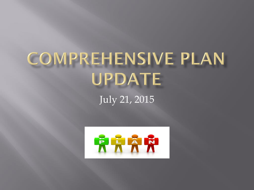# **COMPREHENSIVE PLAN** UPDATE

July 21, 2015

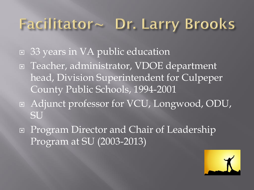# Facilitator~ Dr. Larry Brooks

- □ 33 years in VA public education
- Teacher, administrator, VDOE department head, Division Superintendent for Culpeper County Public Schools, 1994-2001
- Adjunct professor for VCU, Longwood, ODU, **SU**
- **□** Program Director and Chair of Leadership Program at SU (2003-2013)

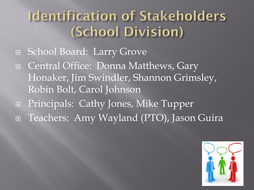### **Identification of Stakeholders** (School Division)

- □ School Board: Larry Grove
- Gentral Office: Donna Matthews, Gary Honaker, Jim Swindler, Shannon Grimsley, Robin Bolt, Carol Johnson
- □ Principals: Cathy Jones, Mike Tupper
- Teachers: Amy Wayland (PTO), Jason Guira

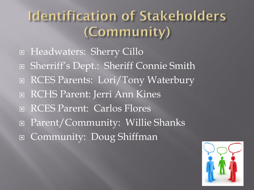### **Identification of Stakeholders** (Community)

- □ Headwaters: Sherry Cillo
- □ Sherriff's Dept.: Sheriff Connie Smith
- RCES Parents: Lori/Tony Waterbury
- **E RCHS Parent: Jerri Ann Kines**
- RCES Parent: Carlos Flores
- Parent/Community: Willie Shanks
- Community: Doug Shiffman

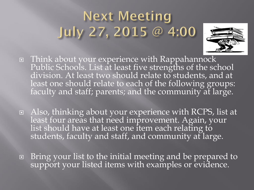## **Next Meeting** July 27, 2015 @ 4:00



- Think about your experience with Rappahannock Public Schools. List at least five strengths of the school division. At least two should relate to students, and at least one should relate to each of the following groups: faculty and staff; parents; and the community at large.
- Also, thinking about your experience with RCPS, list at least four areas that need improvement. Again, your list should have at least one item each relating to students, faculty and staff, and community at large.
- Bring your list to the initial meeting and be prepared to support your listed items with examples or evidence.